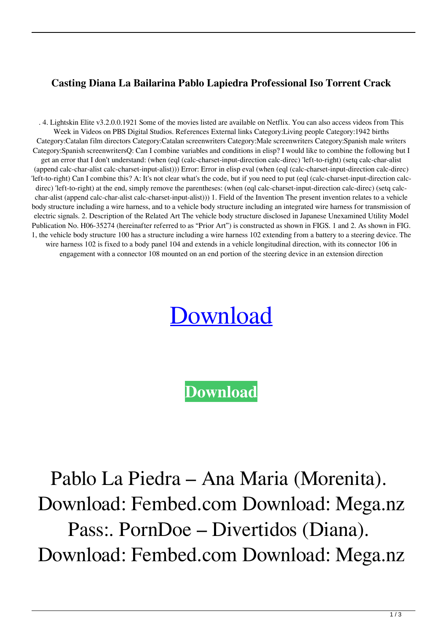## **Casting Diana La Bailarina Pablo Lapiedra Professional Iso Torrent Crack**

. 4. Lightskin Elite v3.2.0.0.1921 Some of the movies listed are available on Netflix. You can also access videos from This Week in Videos on PBS Digital Studios. References External links Category:Living people Category:1942 births Category:Catalan film directors Category:Catalan screenwriters Category:Male screenwriters Category:Spanish male writers Category:Spanish screenwritersQ: Can I combine variables and conditions in elisp? I would like to combine the following but I get an error that I don't understand: (when (eql (calc-charset-input-direction calc-direc) 'left-to-right) (setq calc-char-alist (append calc-char-alist calc-charset-input-alist))) Error: Error in elisp eval (when (eql (calc-charset-input-direction calc-direc) 'left-to-right) Can I combine this? A: It's not clear what's the code, but if you need to put (eql (calc-charset-input-direction calcdirec) 'left-to-right) at the end, simply remove the parentheses: (when (eql calc-charset-input-direction calc-direc) (setq calcchar-alist (append calc-char-alist calc-charset-input-alist))) 1. Field of the Invention The present invention relates to a vehicle body structure including a wire harness, and to a vehicle body structure including an integrated wire harness for transmission of electric signals. 2. Description of the Related Art The vehicle body structure disclosed in Japanese Unexamined Utility Model Publication No. H06-35274 (hereinafter referred to as "Prior Art") is constructed as shown in FIGS. 1 and 2. As shown in FIG. 1, the vehicle body structure 100 has a structure including a wire harness 102 extending from a battery to a steering device. The wire harness 102 is fixed to a body panel 104 and extends in a vehicle longitudinal direction, with its connector 106 in engagement with a connector 108 mounted on an end portion of the steering device in an extension direction

## [Download](http://evacdir.com/cooksey/ZG93bmxvYWR8WVMzTVdNNWMzeDhNVFkxTWpjME1EZzJObng4TWpVM05IeDhLRTBwSUhKbFlXUXRZbXh2WnlCYlJtRnpkQ0JIUlU1ZA.saarloos?Y2FzdGluZyBkaWFuYSBsYSBiYWlsYXJpbmEgcGFibG8gbGFwaWVkcmEY2F=commons&furosemide=lavishness.neurochemical.orthoclase.)

**[Download](http://evacdir.com/cooksey/ZG93bmxvYWR8WVMzTVdNNWMzeDhNVFkxTWpjME1EZzJObng4TWpVM05IeDhLRTBwSUhKbFlXUXRZbXh2WnlCYlJtRnpkQ0JIUlU1ZA.saarloos?Y2FzdGluZyBkaWFuYSBsYSBiYWlsYXJpbmEgcGFibG8gbGFwaWVkcmEY2F=commons&furosemide=lavishness.neurochemical.orthoclase.)**

Pablo La Piedra – Ana Maria (Morenita). Download: Fembed.com Download: Mega.nz Pass:. PornDoe – Divertidos (Diana). Download: Fembed.com Download: Mega.nz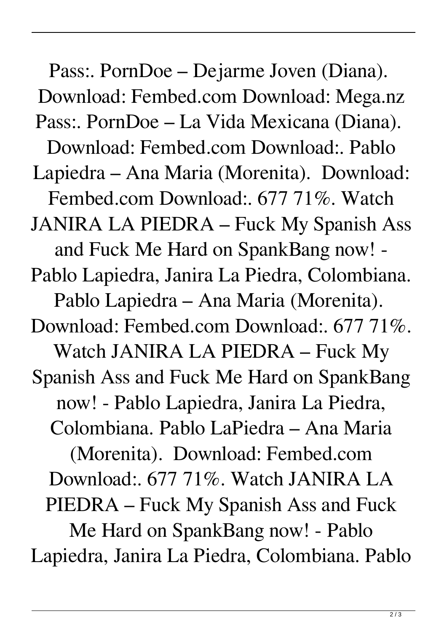Pass:. PornDoe – Dejarme Joven (Diana). Download: Fembed.com Download: Mega.nz Pass:. PornDoe – La Vida Mexicana (Diana). Download: Fembed.com Download:. Pablo Lapiedra – Ana Maria (Morenita). Download: Fembed.com Download:. 677 71%. Watch JANIRA LA PIEDRA – Fuck My Spanish Ass and Fuck Me Hard on SpankBang now! - Pablo Lapiedra, Janira La Piedra, Colombiana. Pablo Lapiedra – Ana Maria (Morenita). Download: Fembed.com Download:. 677 71%. Watch JANIRA LA PIEDRA – Fuck My Spanish Ass and Fuck Me Hard on SpankBang now! - Pablo Lapiedra, Janira La Piedra, Colombiana. Pablo LaPiedra – Ana Maria (Morenita). Download: Fembed.com Download:. 677 71%. Watch JANIRA LA PIEDRA – Fuck My Spanish Ass and Fuck Me Hard on SpankBang now! - Pablo Lapiedra, Janira La Piedra, Colombiana. Pablo